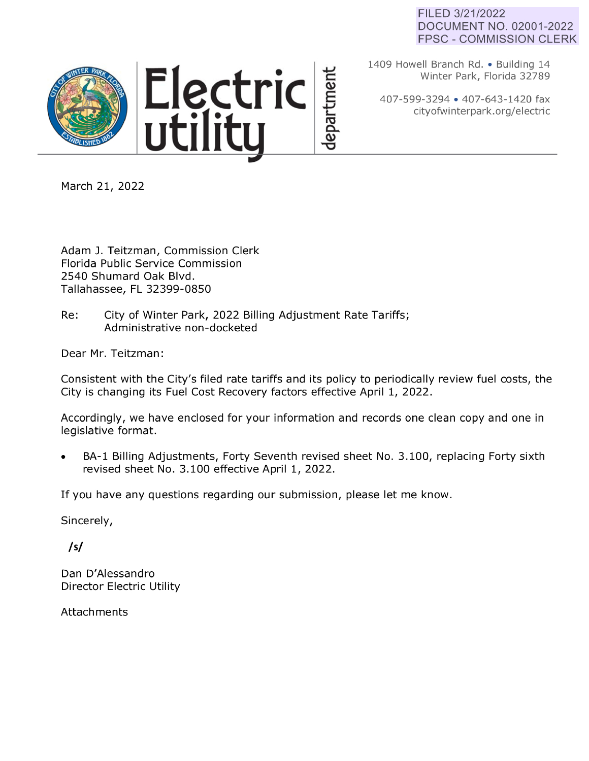# FILED 3/21/2022 DOCUMENT NO. 02001-2022 FPSC - COMMISSION CLERK



1409 Howell Branch Rd. • Building 14 Winter Park, Florida 32789

407-599-3294 • 407-643-1420 fax cityofwinterpark.org/electric

March 21, 2022

Adam J. Teitzman, Commission Clerk Florida Public Service Commission 2540 Shumard Oak Blvd. Tallahassee, FL 32399-0850

Re: City of Winter Park, 2022 Billing Adjustment Rate Tariffs; Administrative non-docketed

Dear Mr. Teitzman:

Consistent with the City's filed rate tariffs and its policy to periodically review fuel costs, the City is changing its Fuel Cost Recovery factors effective April 1, 2022.

epartment

Accordingly, we have enclosed for your information and records one clean copy and one in legislative format.

BA-1 Billing Adjustments, Forty Seventh revised sheet No. 3.100, replacing Forty sixth revised sheet No. 3.100 effective April 1, 2022.

If you have any questions regarding our submission, please let me know.

Sincerely,

*/sf* 

Dan D'Alessandro Director Electric Utility

Attachments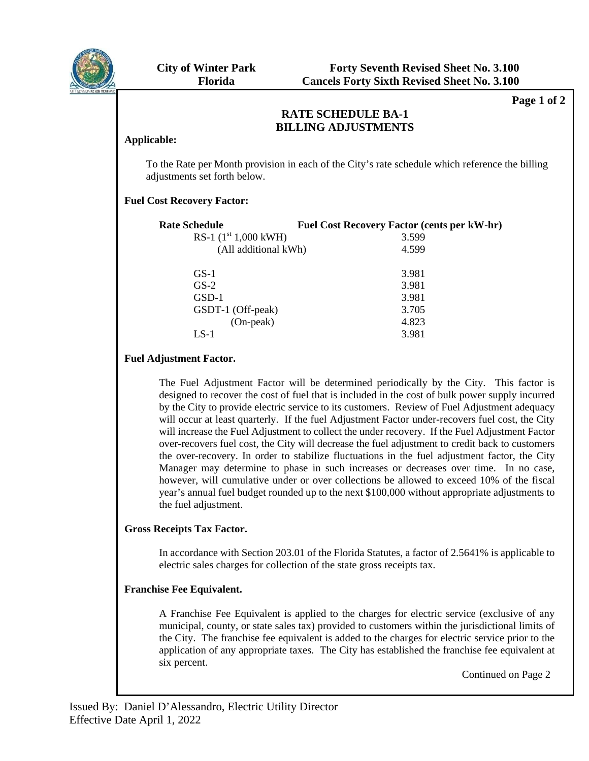

**Page 1 of 2** 

#### RATE SCHEDULE DA-1<br>DII I INC AD HETMENTS **BILLING ADJUSTMENTS RATE SCHEDULE BA-1**

### **Applicable:**

To the Rate per Month provision in each of the City's rate schedule which reference the billing adjustments set forth below.

# **Fuel Cost Recovery Factor:**

| <b>Rate Schedule</b>   |  | <b>Fuel Cost Recovery Factor (cents per kW-hr)</b> |  |
|------------------------|--|----------------------------------------------------|--|
| RS-1 $(1st 1,000$ kWH) |  | 3.599                                              |  |
| (All additional kWh)   |  | 4.599                                              |  |
| $GS-1$                 |  | 3.981                                              |  |
| $GS-2$                 |  | 3.981                                              |  |
| GSD-1                  |  | 3.981                                              |  |
| GSDT-1 (Off-peak)      |  | 3.705                                              |  |
| $(On-peak)$            |  | 4.823                                              |  |
| $LS-1$                 |  | 3.981                                              |  |
|                        |  |                                                    |  |

# **Fuel Adjustment Factor.**

The Fuel Adjustment Factor will be determined periodically by the City. This factor is designed to recover the cost of fuel that is included in the cost of bulk power supply incurred by the City to provide electric service to its customers. Review of Fuel Adjustment adequacy will occur at least quarterly. If the fuel Adjustment Factor under-recovers fuel cost, the City will increase the Fuel Adjustment to collect the under recovery. If the Fuel Adjustment Factor over-recovers fuel cost, the City will decrease the fuel adjustment to credit back to customers the over-recovery. In order to stabilize fluctuations in the fuel adjustment factor, the City Manager may determine to phase in such increases or decreases over time. In no case, however, will cumulative under or over collections be allowed to exceed 10% of the fiscal year's annual fuel budget rounded up to the next \$100,000 without appropriate adjustments to the fuel adjustment.

# **Gross Receipts Tax Factor.**

In accordance with Section 203.01 of the Florida Statutes, a factor of 2.5641% is applicable to electric sales charges for collection of the state gross receipts tax.

# **Franchise Fee Equivalent.**

A Franchise Fee Equivalent is applied to the charges for electric service (exclusive of any municipal, county, or state sales tax) provided to customers within the jurisdictional limits of the City. The franchise fee equivalent is added to the charges for electric service prior to the application of any appropriate taxes. The City has established the franchise fee equivalent at six percent.

Continued on Page 2